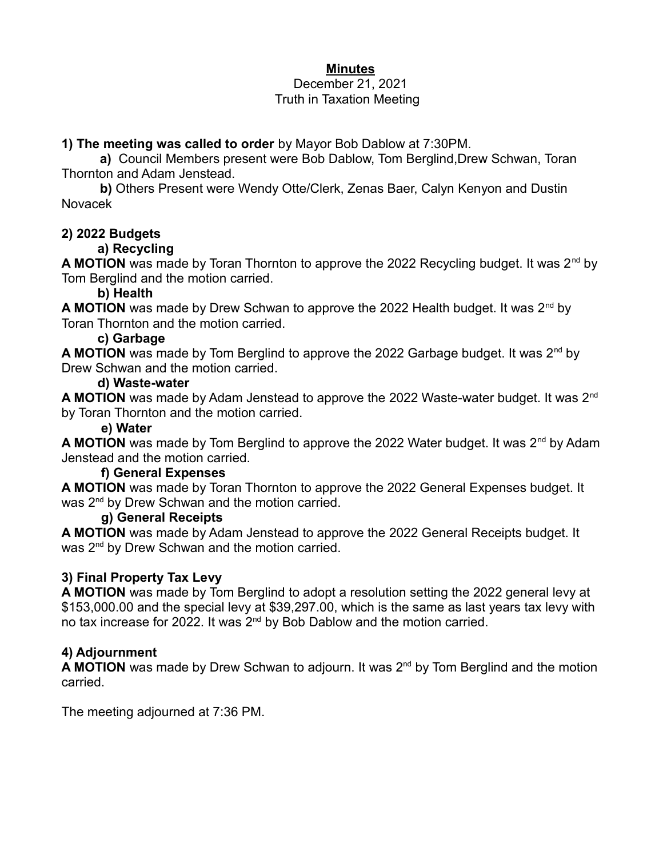# **Minutes**

#### December 21, 2021 Truth in Taxation Meeting

### **1) The meeting was called to order** by Mayor Bob Dablow at 7:30PM.

**a)** Council Members present were Bob Dablow, Tom Berglind,Drew Schwan, Toran Thornton and Adam Jenstead.

**b)** Others Present were Wendy Otte/Clerk, Zenas Baer, Calyn Kenyon and Dustin Novacek

### **2) 2022 Budgets**

# **a) Recycling**

**A MOTION** was made by Toran Thornton to approve the 2022 Recycling budget. It was 2<sup>nd</sup> by Tom Berglind and the motion carried.

### **b) Health**

**A MOTION** was made by Drew Schwan to approve the 2022 Health budget. It was 2<sup>nd</sup> by Toran Thornton and the motion carried.

### **c) Garbage**

**A MOTION** was made by Tom Berglind to approve the 2022 Garbage budget. It was 2nd by Drew Schwan and the motion carried.

#### **d) Waste-water**

**A MOTION** was made by Adam Jenstead to approve the 2022 Waste-water budget. It was 2nd by Toran Thornton and the motion carried.

### **e) Water**

**A MOTION** was made by Tom Berglind to approve the 2022 Water budget. It was 2<sup>nd</sup> by Adam Jenstead and the motion carried.

#### **f) General Expenses**

**A MOTION** was made by Toran Thornton to approve the 2022 General Expenses budget. It was  $2<sup>nd</sup>$  by Drew Schwan and the motion carried.

#### **g) General Receipts**

**A MOTION** was made by Adam Jenstead to approve the 2022 General Receipts budget. It was 2<sup>nd</sup> by Drew Schwan and the motion carried.

# **3) Final Property Tax Levy**

**A MOTION** was made by Tom Berglind to adopt a resolution setting the 2022 general levy at \$153,000.00 and the special levy at \$39,297.00, which is the same as last years tax levy with no tax increase for 2022. It was 2<sup>nd</sup> by Bob Dablow and the motion carried.

# **4) Adjournment**

**A MOTION** was made by Drew Schwan to adjourn. It was 2<sup>nd</sup> by Tom Berglind and the motion carried.

The meeting adjourned at 7:36 PM.